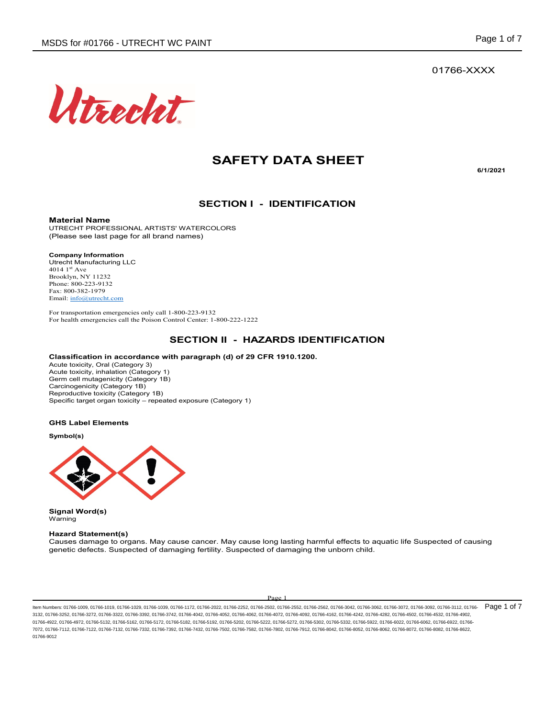

# **SAFETY DATA SHEET**

**6/1/2021**

### **SECTION I - IDENTIFICATION**

**Material Name**

UTRECHT PROFESSIONAL ARTISTS' WATERCOLORS (Please see last page for all brand names)

**Company Information**

Utrecht Manufacturing LLC 4014  $1<sup>st</sup>$  Ave Brooklyn, NY 11232 Phone: 800-223-9132 Fax: 800-382-1979 Email: info@utrecht.com

For transportation emergencies only call 1-800-223-9132 For health emergencies call the Poison Control Center: 1-800-222-1222

# **SECTION II - HAZARDS IDENTIFICATION**

#### **Classification in accordance with paragraph (d) of 29 CFR 1910.1200.**

Acute toxicity, Oral (Category 3) Acute toxicity, inhalation (Category 1) Germ cell mutagenicity (Category 1B) Carcinogenicity (Category 1B) Reproductive toxicity (Category 1B) Specific target organ toxicity – repeated exposure (Category 1)

#### **GHS Label Elements**

**Symbol(s)**



**Signal Word(s)** Warning

#### **Hazard Statement(s)**

Causes damage to organs. May cause cancer. May cause long lasting harmful effects to aquatic life Suspected of causing genetic defects. Suspected of damaging fertility. Suspected of damaging the unborn child.

#### Page 1

ltem Numbers: 01766-1009, 01766-1019, 01766-1029, 01766-1039, 01766-1172, 01766-2022, 01766-2522, 01766-2552, 01766-2562, 01766-3042, 01766-3062, 01766-3072, 01766-3072, 01766-3012, 01766-3012, 01766-30112, 01766-3012, 017 3132, 01766-3252, 01766-3272, 01766-3322, 01766-3392, 01766-3742, 01766-4042, 01766-4052, 01766-4062, 01766-4072, 01766-4092, 01766-4162, 01766-4242, 01766-4282, 01766-4502, 01766-4532, 01766-4902, 01766-4922, 01766-4972, 01766-5132, 01766-5162, 01766-5172, 01766-5182, 01766-5202, 01766-5222, 01766-522, 01766-5302, 01766-5332, 01766-5922, 01766-6022, 01766-6022, 01766-6922, 01766-6022, 01766-602, 01766-692, 01766-6922 7072, 01766-7112, 01766-7122, 01766-7132, 01766-7332, 01766-7392, 01766-7432, 01766-7502, 01766-7582, 01766-7802, 01766-7912, 01766-8042, 01766-8052, 01766-8062, 01766-8072, 01766-8082, 01766-8622, 01766-9012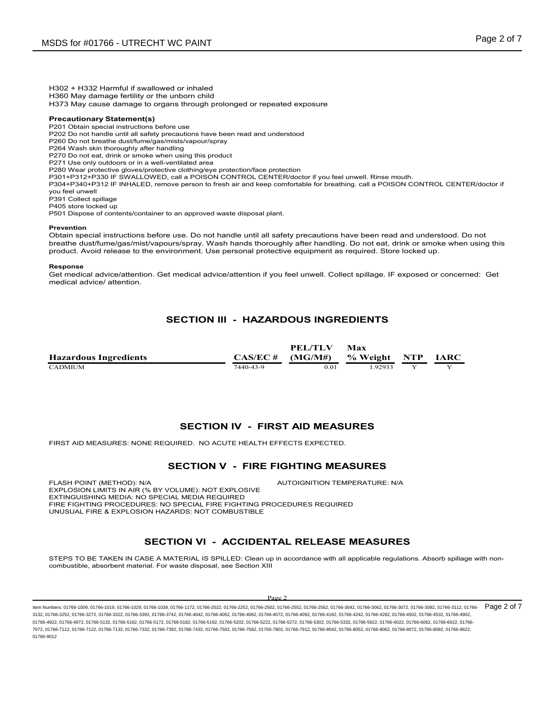H302 + H332 Harmful if swallowed or inhaled

H360 May damage fertility or the unborn child

H373 May cause damage to organs through prolonged or repeated exposure

#### **Precautionary Statement(s)**

P201 Obtain special instructions before use

P202 Do not handle until all safety precautions have been read and understood

P260 Do not breathe dust/fume/gas/mists/vapour/spray

P264 Wash skin thoroughly after handling

P270 Do not eat, drink or smoke when using this product

P271 Use only outdoors or in a well-ventilated area

P280 Wear protective gloves/protective clothing/eye protection/face protection

P301+P312+P330 IF SWALLOWED, call a POISON CONTROL CENTER/doctor if you feel unwell. Rinse mouth. P304+P340+P312 IF INHALED, remove person to fresh air and keep comfortable for breathing. call a POISON CONTROL CENTER/doctor if you feel unwell

P391 Collect spillage

P405 store locked up

P501 Dispose of contents/container to an approved waste disposal plant.

#### **Prevention**

Obtain special instructions before use. Do not handle until all safety precautions have been read and understood. Do not breathe dust/fume/gas/mist/vapours/spray. Wash hands thoroughly after handling. Do not eat, drink or smoke when using this product. Avoid release to the environment. Use personal protective equipment as required. Store locked up.

#### **Response**

Get medical advice/attention. Get medical advice/attention if you feel unwell. Collect spillage. IF exposed or concerned: Get medical advice/ attention.

# **SECTION III - HAZARDOUS INGREDIENTS**

|                              |                            | PEL/TLV | Max          |             |
|------------------------------|----------------------------|---------|--------------|-------------|
| <b>Hazardous Ingredients</b> | $CAS/EC \# \quad (MG/M\#)$ |         | % Weight NTP | <b>IARC</b> |
| <b>CADMIUM</b>               | 7440-43-9                  | 0.01    | 92933        |             |

### **SECTION IV - FIRST AID MEASURES**

FIRST AID MEASURES: NONE REQUIRED. NO ACUTE HEALTH EFFECTS EXPECTED.

#### **SECTION V - FIRE FIGHTING MEASURES**

FLASH POINT (METHOD): N/A  $\blacksquare$  AUTOIGNITION TEMPERATURE: N/A EXPLOSION LIMITS IN AIR (% BY VOLUME): NOT EXPLOSIVE EXTINGUISHING MEDIA: NO SPECIAL MEDIA REQUIRED FIRE FIGHTING PROCEDURES: NO SPECIAL FIRE FIGHTING PROCEDURES REQUIRED UNUSUAL FIRE & EXPLOSION HAZARDS: NOT COMBUSTIBLE

# **SECTION VI - ACCIDENTAL RELEASE MEASURES**

STEPS TO BE TAKEN IN CASE A MATERIAL IS SPILLED: Clean up in accordance with all applicable regulations. Absorb spillage with noncombustible, absorbent material. For waste disposal, see Section XIII

#### $D_{\alpha\alpha\beta}$

ltem Numbers: 01766-1009, 01766-1019, 01766-1029, 01766-1039, 01766-1172, 01766-2022, 01766-2522, 01766-2552, 01766-2562, 01766-3042, 01766-3062, 01766-3072, 01766-3072, 01766-3012, 01766-3012, 01766-30112, 01766-3012, 017 3132, 01766-3252, 01766-3272, 01766-3322, 01766-3392, 01766-3742, 01766-4042, 01766-4052, 01766-4062, 01766-4072, 01766-4092, 01766-4162, 01766-4242, 01766-4282, 01766-4502, 01766-4532, 01766-4902, 01766-4922, 01766-4972, 01766-5132, 01766-5162, 01766-5172, 01766-5182, 01766-5202, 01766-5222, 01766-522, 01766-5302, 01766-5332, 01766-5922, 01766-6022, 01766-6022, 01766-6922, 01766-6022, 01766-602, 01766-692, 01766-6922 7072, 01766-7112, 01766-7122, 01766-7132, 01766-7332, 01766-7392, 01766-7432, 01766-7502, 01766-7582, 01766-7802, 01766-7912, 01766-8042, 01766-8052, 01766-8062, 01766-8072, 01766-8082, 01766-8622, 01766-9012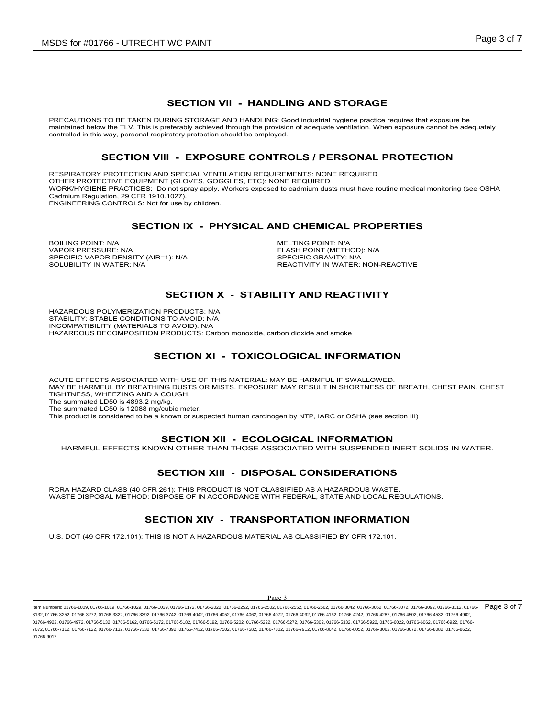### **SECTION VII - HANDLING AND STORAGE**

PRECAUTIONS TO BE TAKEN DURING STORAGE AND HANDLING: Good industrial hygiene practice requires that exposure be maintained below the TLV. This is preferably achieved through the provision of adequate ventilation. When exposure cannot be adequately controlled in this way, personal respiratory protection should be employed.

#### **SECTION VIII - EXPOSURE CONTROLS / PERSONAL PROTECTION**

RESPIRATORY PROTECTION AND SPECIAL VENTILATION REQUIREMENTS: NONE REQUIRED OTHER PROTECTIVE EQUIPMENT (GLOVES, GOGGLES, ETC): NONE REQUIRED WORK/HYGIENE PRACTICES: Do not spray apply. Workers exposed to cadmium dusts must have routine medical monitoring (see OSHA Cadmium Regulation, 29 CFR 1910.1027).

ENGINEERING CONTROLS: Not for use by children.

### **SECTION IX - PHYSICAL AND CHEMICAL PROPERTIES**

BOILING POINT: N/A<br>
VAPOR PRESSURE N/A<br>
VAPOR PRESSURE N/A SPECIFIC VAPOR DENSITY (AIR=1): N/A<br>SOLUBILITY IN WATER: N/A

FLASH POINT (METHOD): N/A<br>SPECIFIC GRAVITY: N/A REACTIVITY IN WATER: NON-REACTIVE

# **SECTION X - STABILITY AND REACTIVITY**

HAZARDOUS POLYMERIZATION PRODUCTS: N/A STABILITY: STABLE CONDITIONS TO AVOID: N/A INCOMPATIBILITY (MATERIALS TO AVOID): N/A HAZARDOUS DECOMPOSITION PRODUCTS: Carbon monoxide, carbon dioxide and smoke

# **SECTION XI - TOXICOLOGICAL INFORMATION**

ACUTE EFFECTS ASSOCIATED WITH USE OF THIS MATERIAL: MAY BE HARMFUL IF SWALLOWED. MAY BE HARMFUL BY BREATHING DUSTS OR MISTS. EXPOSURE MAY RESULT IN SHORTNESS OF BREATH, CHEST PAIN, CHEST TIGHTNESS, WHEEZING AND A COUGH. The summated LD50 is 4893.2 mg/kg.

The summated LC50 is 12088 mg/cubic meter.

This product is considered to be a known or suspected human carcinogen by NTP, IARC or OSHA (see section III)

#### **SECTION XII - ECOLOGICAL INFORMATION**

HARMFUL EFFECTS KNOWN OTHER THAN THOSE ASSOCIATED WITH SUSPENDED INERT SOLIDS IN WATER.

#### **SECTION XIII - DISPOSAL CONSIDERATIONS**

RCRA HAZARD CLASS (40 CFR 261): THIS PRODUCT IS NOT CLASSIFIED AS A HAZARDOUS WASTE. WASTE DISPOSAL METHOD: DISPOSE OF IN ACCORDANCE WITH FEDERAL, STATE AND LOCAL REGULATIONS.

#### **SECTION XIV - TRANSPORTATION INFORMATION**

U.S. DOT (49 CFR 172.101): THIS IS NOT A HAZARDOUS MATERIAL AS CLASSIFIED BY CFR 172.101.

#### Page 3

ltem Numbers: 01766-1009, 01766-1019, 01766-1029, 01766-1039, 01766-1172, 01766-2022, 01766-2522, 01766-2552, 01766-2562, 01766-3042, 01766-3062, 01766-3072, 01766-3072, 01766-3012, 01766-3012, 01766-30112, 01766-3012, 017 3132, 01766-3252, 01766-3272, 01766-3322, 01766-3392, 01766-3742, 01766-4042, 01766-4052, 01766-4062, 01766-4072, 01766-4092, 01766-4162, 01766-4242, 01766-4282, 01766-4502, 01766-4532, 01766-4902, 01766-4922, 01766-4972, 01766-5132, 01766-5162, 01766-5172, 01766-5182, 01766-5202, 01766-5222, 01766-522, 01766-5302, 01766-5332, 01766-5922, 01766-6022, 01766-6022, 01766-6922, 01766-6022, 01766-602, 01766-692, 01766-6922 7072, 01766-7112, 01766-7122, 01766-7132, 01766-7332, 01766-7392, 01766-7432, 01766-7502, 01766-7582, 01766-7802, 01766-7912, 01766-8042, 01766-8052, 01766-8062, 01766-8072, 01766-8082, 01766-8622, 01766-9012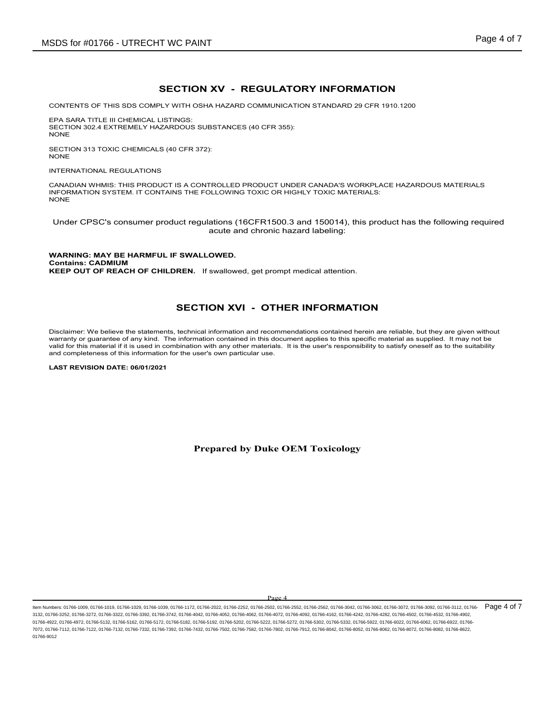# **SECTION XV - REGULATORY INFORMATION**

CONTENTS OF THIS SDS COMPLY WITH OSHA HAZARD COMMUNICATION STANDARD 29 CFR 1910.1200

EPA SARA TITLE III CHEMICAL LISTINGS: SECTION 302.4 EXTREMELY HAZARDOUS SUBSTANCES (40 CFR 355): NONE

SECTION 313 TOXIC CHEMICALS (40 CFR 372): NONE

INTERNATIONAL REGULATIONS

CANADIAN WHMIS: THIS PRODUCT IS A CONTROLLED PRODUCT UNDER CANADA'S WORKPLACE HAZARDOUS MATERIALS INFORMATION SYSTEM. IT CONTAINS THE FOLLOWING TOXIC OR HIGHLY TOXIC MATERIALS: **NONE** 

Under CPSC's consumer product regulations (16CFR1500.3 and 150014), this product has the following required acute and chronic hazard labeling:

**WARNING: MAY BE HARMFUL IF SWALLOWED. Contains: CADMIUM KEEP OUT OF REACH OF CHILDREN.** If swallowed, get prompt medical attention.

#### **SECTION XVI - OTHER INFORMATION**

Disclaimer: We believe the statements, technical information and recommendations contained herein are reliable, but they are given without warranty or guarantee of any kind. The information contained in this document applies to this specific material as supplied. It may not be valid for this material if it is used in combination with any other materials. It is the user's responsibility to satisfy oneself as to the suitability and completeness of this information for the user's own particular use.

**LAST REVISION DATE: 06/01/2021**

**Prepared by Duke OEM Toxicology**

 $\mathbf{p}_{\alpha}$ 

ltem Numbers: 01766-1009, 01766-1019, 01766-1029, 01766-1039, 01766-1172, 01766-2022, 01766-2522, 01766-2552, 01766-2552, 01766-3042, 01766-3062, 01766-3062, 01766-3072, 01766-3072, 01766-3012, 01766-30112, 01766-3012, 017 3132, 01766-3252, 01766-3272, 01766-3322, 01766-3392, 01766-3742, 01766-4042, 01766-4052, 01766-4062, 01766-4072, 01766-4092, 01766-4162, 01766-4242, 01766-4282, 01766-4502, 01766-4532, 01766-4902, 01766-4922, 01766-4972, 01766-5132, 01766-5162, 01766-5182, 01766-5192, 01766-5202, 01766-5222, 01766-522, 01766-5302, 01766-5332, 01766-5922, 01766-6022, 01766-6922, 01766-6922, 01766-6922, 01766-6022, 01766-6922, 01766-69 7072, 01766-7112, 01766-7122, 01766-7132, 01766-7332, 01766-7392, 01766-7432, 01766-7502, 01766-7582, 01766-7802, 01766-7912, 01766-8042, 01766-8052, 01766-8062, 01766-8072, 01766-8082, 01766-8622, 01766-9012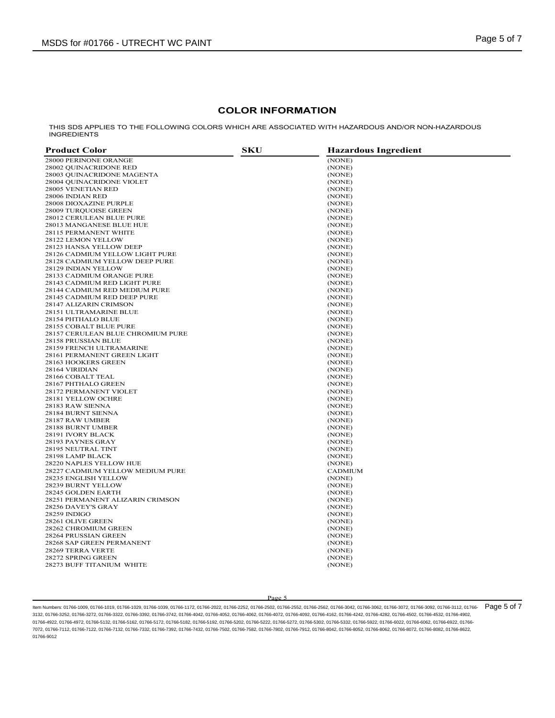#### **COLOR INFORMATION**

THIS SDS APPLIES TO THE FOLLOWING COLORS WHICH ARE ASSOCIATED WITH HAZARDOUS AND/OR NON-HAZARDOUS INGREDIENTS

| <b>Product Color</b>              | <b>SKU</b> | <b>Hazardous Ingredient</b> |
|-----------------------------------|------------|-----------------------------|
| 28000 PERINONE ORANGE             |            | (NONE)                      |
| 28002 QUINACRIDONE RED            |            | (NONE)                      |
| 28003 OUINACRIDONE MAGENTA        |            | (NONE)                      |
| 28004 QUINACRIDONE VIOLET         |            | (NONE)                      |
| 28005 VENETIAN RED                |            | (NONE)                      |
| 28006 INDIAN RED                  |            | (NONE)                      |
| 28008 DIOXAZINE PURPLE            |            | (NONE)                      |
| <b>28009 TURQUOISE GREEN</b>      |            | (NONE)                      |
| 28012 CERULEAN BLUE PURE          |            | (NONE)                      |
| 28013 MANGANESE BLUE HUE          |            | (NONE)                      |
| 28115 PERMANENT WHITE             |            | (NONE)                      |
| 28122 LEMON YELLOW                |            | (NONE)                      |
| 28123 HANSA YELLOW DEEP           |            | (NONE)                      |
| 28126 CADMIUM YELLOW LIGHT PURE   |            | (NONE)                      |
| 28128 CADMIUM YELLOW DEEP PURE    |            | (NONE)                      |
| 28129 INDIAN YELLOW               |            | (NONE)                      |
| 28133 CADMIUM ORANGE PURE         |            | (NONE)                      |
| 28143 CADMIUM RED LIGHT PURE      |            | (NONE)                      |
| 28144 CADMIUM RED MEDIUM PURE     |            | (NONE)                      |
| 28145 CADMIUM RED DEEP PURE       |            | (NONE)                      |
| 28147 ALIZARIN CRIMSON            |            | (NONE)                      |
| 28151 ULTRAMARINE BLUE            |            | (NONE)                      |
| 28154 PHTHALO BLUE                |            | (NONE)                      |
| 28155 COBALT BLUE PURE            |            | (NONE)                      |
| 28157 CERULEAN BLUE CHROMIUM PURE |            | (NONE)                      |
| 28158 PRUSSIAN BLUE               |            | (NONE)                      |
| 28159 FRENCH ULTRAMARINE          |            | (NONE)                      |
| 28161 PERMANENT GREEN LIGHT       |            | (NONE)                      |
| 28163 HOOKERS GREEN               |            | (NONE)                      |
| 28164 VIRIDIAN                    |            | (NONE)                      |
| 28166 COBALT TEAL                 |            | (NONE)                      |
| 28167 PHTHALO GREEN               |            | (NONE)                      |
| 28172 PERMANENT VIOLET            |            | (NONE)                      |
| 28181 YELLOW OCHRE                |            | (NONE)                      |
| 28183 RAW SIENNA                  |            | (NONE)                      |
| 28184 BURNT SIENNA                |            | (NONE)                      |
| 28187 RAW UMBER                   |            | (NONE)                      |
| 28188 BURNT UMBER                 |            | (NONE)                      |
| 28191 IVORY BLACK                 |            | (NONE)                      |
| 28193 PAYNES GRAY                 |            | (NONE)                      |
| 28195 NEUTRAL TINT                |            | (NONE)                      |
| 28198 LAMP BLACK                  |            | (NONE)                      |
| 28220 NAPLES YELLOW HUE           |            | (NONE)                      |
| 28227 CADMIUM YELLOW MEDIUM PURE  |            | <b>CADMIUM</b>              |
| 28235 ENGLISH YELLOW              |            | (NONE)                      |
| 28239 BURNT YELLOW                |            | (NONE)                      |
| 28245 GOLDEN EARTH                |            |                             |
| 28251 PERMANENT ALIZARIN CRIMSON  |            | (NONE)                      |
| 28256 DAVEY'S GRAY                |            | (NONE)<br>(NONE)            |
|                                   |            |                             |
| 28259 INDIGO<br>28261 OLIVE GREEN |            | (NONE)<br>(NONE)            |
| 28262 CHROMIUM GREEN              |            |                             |
|                                   |            | (NONE)                      |
| 28264 PRUSSIAN GREEN              |            | (NONE)                      |
| 28268 SAP GREEN PERMANENT         |            | (NONE)                      |
| 28269 TERRA VERTE                 |            | (NONE)                      |
| 28272 SPRING GREEN                |            | (NONE)                      |
| 28273 BUFF TITANIUM WHITE         |            | (NONE)                      |

#### Page 5

ltem Numbers: 01766-1009, 01766-1019, 01766-1029, 01766-1039, 01766-1172, 01766-2022, 01766-2522, 01766-2552, 01766-2562, 01766-3042, 01766-3062, 01766-3072, 01766-3072, 01766-3012, 01766-3012, 01766-30112, 01766-3012, 017 3132, 01766-3252, 01766-3272, 01766-3322, 01766-3392, 01766-3742, 01766-4042, 01766-4052, 01766-4062, 01766-4072, 01766-4092, 01766-4162, 01766-4242, 01766-4282, 01766-4502, 01766-4532, 01766-4902, 01766-4922, 01766-4972, 01766-5132, 01766-5162, 01766-5172, 01766-5182, 01766-5192, 01766-5202, 01766-522, 01766-5302, 01766-5332, 01766-5922, 01766-6022, 01766-6022, 01766-6922, 01766-622, 01766-602, 01766-6922, 01766-6922 7072, 01766-7112, 01766-7122, 01766-7132, 01766-7332, 01766-7392, 01766-7432, 01766-7502, 01766-7582, 01766-7802, 01766-7912, 01766-8042, 01766-8052, 01766-8062, 01766-8072, 01766-8082, 01766-8622, 01766-9012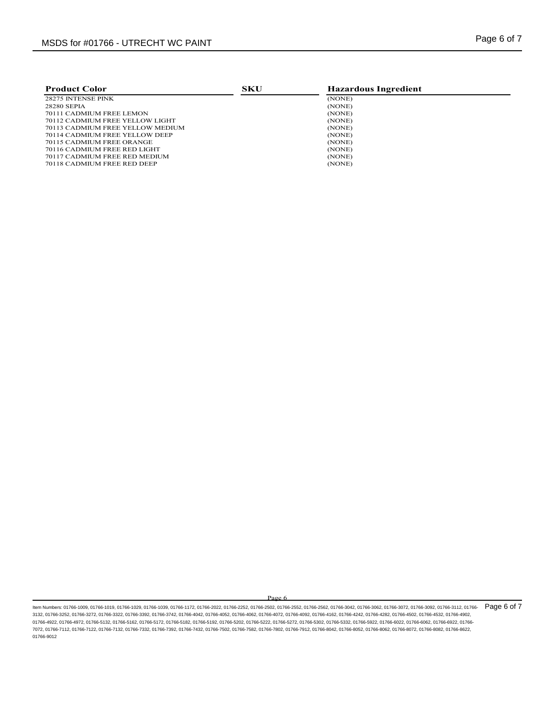| <b>Product Color</b>                | SKU | <b>Hazardous Ingredient</b> |  |
|-------------------------------------|-----|-----------------------------|--|
| 28275 INTENSE PINK                  |     | (NONE)                      |  |
| 28280 SEPIA                         |     | (NONE)                      |  |
| 70111 CADMIUM FREE LEMON            |     | (NONE)                      |  |
| 70112 CADMIUM FREE YELLOW LIGHT     |     | (NONE)                      |  |
| 70113 CADMIUM FREE YELLOW MEDIUM    |     | (NONE)                      |  |
| 70114 CADMIUM FREE YELLOW DEEP      |     | (NONE)                      |  |
| 70115 CADMIUM FREE ORANGE           |     | (NONE)                      |  |
| <b>70116 CADMIUM FREE RED LIGHT</b> |     | (NONE)                      |  |
| 70117 CADMIUM FREE RED MEDIUM       |     | (NONE)                      |  |
| 70118 CADMIUM FREE RED DEEP         |     | (NONE)                      |  |
|                                     |     |                             |  |

Page 6

ltem Numbers: 01766-1009, 01766-1019, 01766-1029, 01766-1039, 01766-1172, 01766-2022, 01766-2522, 01766-2552, 01766-2562, 01766-3042, 01766-3062, 01766-3072, 01766-3072, 01766-3012, 01766-3012, 01766-30112, 01766-3012, 017 3132, 01766-3252, 01766-3272, 01766-3322, 01766-3392, 01766-3742, 01766-4042, 01766-4052, 01766-4062, 01766-4072, 01766-4092, 01766-4162, 01766-4242, 01766-4282, 01766-4502, 01766-4532, 01766-4902, 01766-4922, 01766-4972, 01766-5132, 01766-5162, 01766-5172, 01766-5182, 01766-5192, 01766-5202, 01766-522, 01766-5302, 01766-5332, 01766-5922, 01766-6022, 01766-6022, 01766-6922, 01766-622, 01766-602, 01766-6922, 01766-6922 7072, 01766-7112, 01766-7122, 01766-7132, 01766-7332, 01766-7392, 01766-7432, 01766-7502, 01766-7582, 01766-7802, 01766-7912, 01766-8042, 01766-8052, 01766-8062, 01766-8072, 01766-8082, 01766-8622, 01766-9012